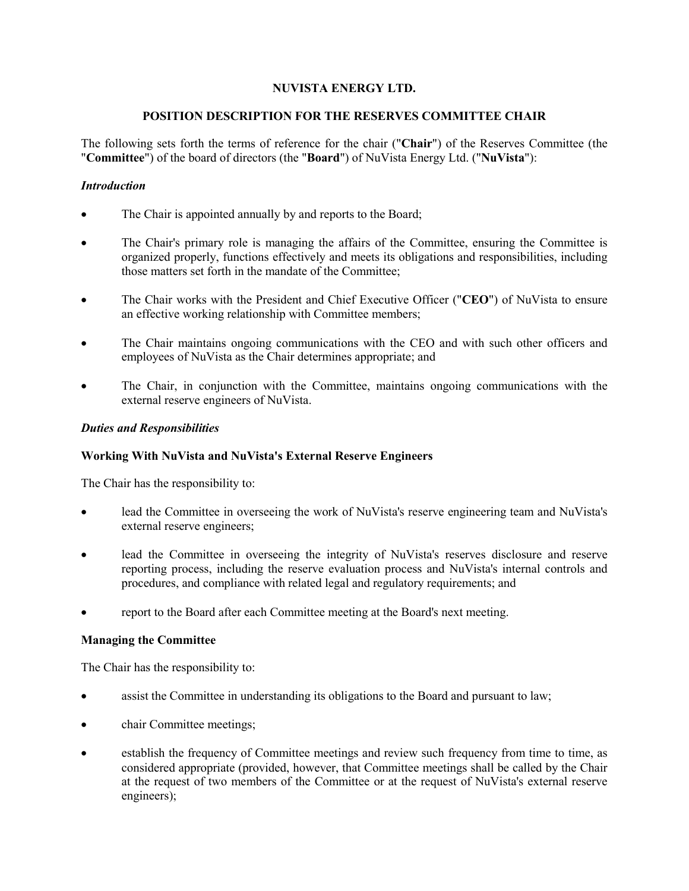# **NUVISTA ENERGY LTD.**

### **POSITION DESCRIPTION FOR THE RESERVES COMMITTEE CHAIR**

The following sets forth the terms of reference for the chair ("**Chair**") of the Reserves Committee (the "**Committee**") of the board of directors (the "**Board**") of NuVista Energy Ltd. ("**NuVista**"):

# *Introduction*

- The Chair is appointed annually by and reports to the Board;
- The Chair's primary role is managing the affairs of the Committee, ensuring the Committee is organized properly, functions effectively and meets its obligations and responsibilities, including those matters set forth in the mandate of the Committee;
- The Chair works with the President and Chief Executive Officer ("**CEO**") of NuVista to ensure an effective working relationship with Committee members;
- The Chair maintains ongoing communications with the CEO and with such other officers and employees of NuVista as the Chair determines appropriate; and
- The Chair, in conjunction with the Committee, maintains ongoing communications with the external reserve engineers of NuVista.

#### *Duties and Responsibilities*

#### **Working With NuVista and NuVista's External Reserve Engineers**

The Chair has the responsibility to:

- lead the Committee in overseeing the work of NuVista's reserve engineering team and NuVista's external reserve engineers;
- lead the Committee in overseeing the integrity of NuVista's reserves disclosure and reserve reporting process, including the reserve evaluation process and NuVista's internal controls and procedures, and compliance with related legal and regulatory requirements; and
- report to the Board after each Committee meeting at the Board's next meeting.

#### **Managing the Committee**

The Chair has the responsibility to:

- assist the Committee in understanding its obligations to the Board and pursuant to law;
- chair Committee meetings;
- establish the frequency of Committee meetings and review such frequency from time to time, as considered appropriate (provided, however, that Committee meetings shall be called by the Chair at the request of two members of the Committee or at the request of NuVista's external reserve engineers);